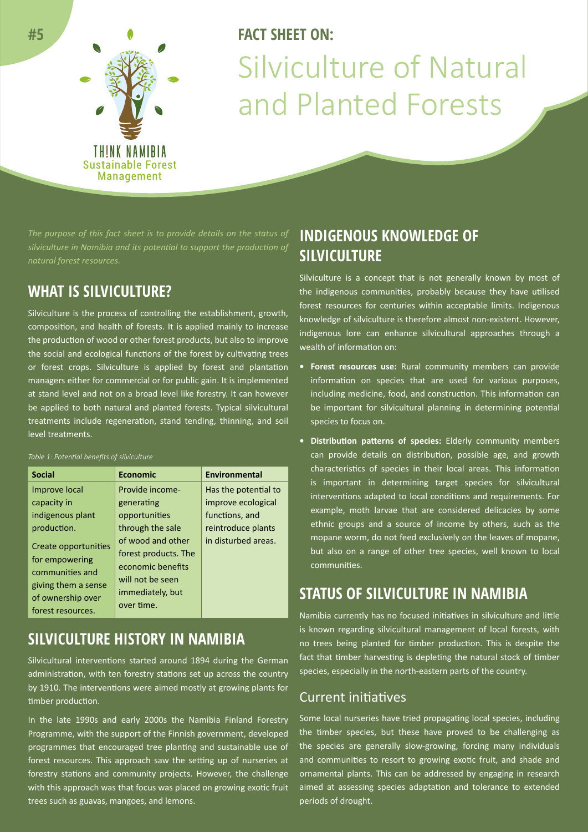

# **FACT SHEFT ON:** Silviculture of Natural and Planted Forests

*The purpose of this fact sheet is to provide details on the status of silviculture in Namibia and its potential to support the production of natural forest resources.*

# **WHAT IS SILVICULTURE?**

Silviculture is the process of controlling the establishment, growth, composition, and health of forests. It is applied mainly to increase the production of wood or other forest products, but also to improve the social and ecological functions of the forest by cultivating trees or forest crops. Silviculture is applied by forest and plantation managers either for commercial or for public gain. It is implemented at stand level and not on a broad level like forestry. It can however be applied to both natural and planted forests. Typical silvicultural treatments include regeneration, stand tending, thinning, and soil level treatments.

#### *Table 1: Potential benefits of silviculture*

| <b>Social</b>                                                                                                              | <b>Economic</b>                                                                                                      | Environmental        |
|----------------------------------------------------------------------------------------------------------------------------|----------------------------------------------------------------------------------------------------------------------|----------------------|
| Improve local                                                                                                              | Provide income-                                                                                                      | Has the potential to |
| capacity in                                                                                                                | generating                                                                                                           | improve ecological   |
| indigenous plant                                                                                                           | opportunities                                                                                                        | functions, and       |
| production.                                                                                                                | through the sale                                                                                                     | reintroduce plants   |
| Create opportunities<br>for empowering<br>communities and<br>giving them a sense<br>of ownership over<br>forest resources. | of wood and other<br>forest products. The<br>economic benefits<br>will not be seen<br>immediately, but<br>over time. | in disturbed areas.  |

## **SILVICULTURE HISTORY IN NAMIBIA**

Silvicultural interventions started around 1894 during the German administration, with ten forestry stations set up across the country by 1910. The interventions were aimed mostly at growing plants for timber production.

In the late 1990s and early 2000s the Namibia Finland Forestry Programme, with the support of the Finnish government, developed programmes that encouraged tree planting and sustainable use of forest resources. This approach saw the setting up of nurseries at forestry stations and community projects. However, the challenge with this approach was that focus was placed on growing exotic fruit trees such as guavas, mangoes, and lemons.

# **INDIGENOUS KNOWLEDGE OF SILVICULTURE**

Silviculture is a concept that is not generally known by most of the indigenous communities, probably because they have utilised forest resources for centuries within acceptable limits. Indigenous knowledge of silviculture is therefore almost non-existent. However, indigenous lore can enhance silvicultural approaches through a wealth of information on:

- **• Forest resources use:** Rural community members can provide information on species that are used for various purposes, including medicine, food, and construction. This information can be important for silvicultural planning in determining potential species to focus on.
- **• Distribution patterns of species:** Elderly community members can provide details on distribution, possible age, and growth characteristics of species in their local areas. This information is important in determining target species for silvicultural interventions adapted to local conditions and requirements. For example, moth larvae that are considered delicacies by some ethnic groups and a source of income by others, such as the mopane worm, do not feed exclusively on the leaves of mopane, but also on a range of other tree species, well known to local communities.

## **STATUS OF SILVICULTURE IN NAMIBIA**

Namibia currently has no focused initiatives in silviculture and little is known regarding silvicultural management of local forests, with no trees being planted for timber production. This is despite the fact that timber harvesting is depleting the natural stock of timber species, especially in the north-eastern parts of the country.

## Current initiatives

Some local nurseries have tried propagating local species, including the timber species, but these have proved to be challenging as the species are generally slow-growing, forcing many individuals and communities to resort to growing exotic fruit, and shade and ornamental plants. This can be addressed by engaging in research aimed at assessing species adaptation and tolerance to extended periods of drought.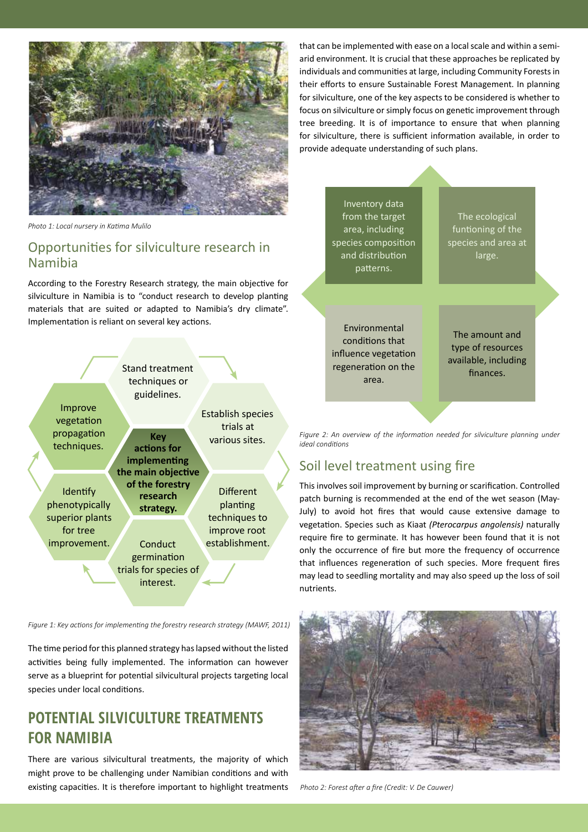

that can be implemented with ease on a local scale and within a semiarid environment. It is crucial that these approaches be replicated by individuals and communities at large, including Community Forests in their efforts to ensure Sustainable Forest Management. In planning for silviculture, one of the key aspects to be considered is whether to focus on silviculture or simply focus on genetic improvement through tree breeding. It is of importance to ensure that when planning for silviculture, there is sufficient information available, in order to provide adequate understanding of such plans.

*Photo 1: Local nursery in Katima Mulilo* 

## Opportunities for silviculture research in Namibia

According to the Forestry Research strategy, the main objective for silviculture in Namibia is to "conduct research to develop planting materials that are suited or adapted to Namibia's dry climate". Implementation is reliant on several key actions.



*Figure 1: Key actions for implementing the forestry research strategy (MAWF, 2011)*

The time period for this planned strategy has lapsed without the listed activities being fully implemented. The information can however serve as a blueprint for potential silvicultural projects targeting local species under local conditions.

# **POTENTIAL SILVICULTURE TREATMENTS FOR NAMIBIA**

There are various silvicultural treatments, the majority of which might prove to be challenging under Namibian conditions and with existing capacities. It is therefore important to highlight treatments



The ecological funtioning of the species and area at large.

Environmental conditions that influence vegetation regeneration on the area.

The amount and type of resources available, including finances.

*Figure 2: An overview of the information needed for silviculture planning under ideal conditions*

## Soil level treatment using fire

This involves soil improvement by burning or scarification. Controlled patch burning is recommended at the end of the wet season (May-July) to avoid hot fires that would cause extensive damage to vegetation. Species such as Kiaat *(Pterocarpus angolensis)* naturally require fire to germinate. It has however been found that it is not only the occurrence of fire but more the frequency of occurrence that influences regeneration of such species. More frequent fires may lead to seedling mortality and may also speed up the loss of soil nutrients.



*Photo 2: Forest after a fire (Credit: V. De Cauwer)*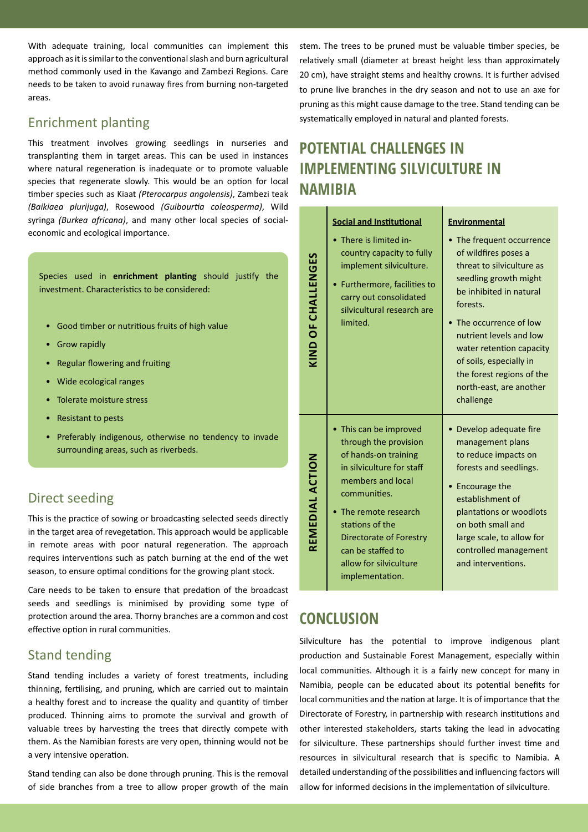With adequate training, local communities can implement this approach as it is similar to the conventional slash and burn agricultural method commonly used in the Kavango and Zambezi Regions. Care needs to be taken to avoid runaway fires from burning non-targeted areas.

## Enrichment planting

This treatment involves growing seedlings in nurseries and transplanting them in target areas. This can be used in instances where natural regeneration is inadequate or to promote valuable species that regenerate slowly. This would be an option for local timber species such as Kiaat *(Pterocarpus angolensis)*, Zambezi teak *(Baikiaea plurijuga)*, Rosewood *(Guibourtia coleosperma)*, Wild syringa *(Burkea africana)*, and many other local species of socialeconomic and ecological importance.

Species used in **enrichment planting** should justify the investment. Characteristics to be considered:

- Good timber or nutritious fruits of high value
- Grow rapidly
- Regular flowering and fruiting
- Wide ecological ranges
- Tolerate moisture stress
- Resistant to pests
- Preferably indigenous, otherwise no tendency to invade surrounding areas, such as riverbeds.

## Direct seeding

This is the practice of sowing or broadcasting selected seeds directly in the target area of revegetation. This approach would be applicable in remote areas with poor natural regeneration. The approach requires interventions such as patch burning at the end of the wet season, to ensure optimal conditions for the growing plant stock.

Care needs to be taken to ensure that predation of the broadcast seeds and seedlings is minimised by providing some type of protection around the area. Thorny branches are a common and cost effective option in rural communities.

#### Stand tending

Stand tending includes a variety of forest treatments, including thinning, fertilising, and pruning, which are carried out to maintain a healthy forest and to increase the quality and quantity of timber produced. Thinning aims to promote the survival and growth of valuable trees by harvesting the trees that directly compete with them. As the Namibian forests are very open, thinning would not be a very intensive operation.

Stand tending can also be done through pruning. This is the removal of side branches from a tree to allow proper growth of the main stem. The trees to be pruned must be valuable timber species, be relatively small (diameter at breast height less than approximately 20 cm), have straight stems and healthy crowns. It is further advised to prune live branches in the dry season and not to use an axe for pruning as this might cause damage to the tree. Stand tending can be systematically employed in natural and planted forests.

# **POTENTIAL CHALLENGES IN IMPLEMENTING SILVICULTURE IN NAMIBIA**

|                    | <b>Social and Institutional</b>                                                                                                                                                                                                                                                | <b>Environmental</b>                                                                                                                                                                                                                                                                                                           |
|--------------------|--------------------------------------------------------------------------------------------------------------------------------------------------------------------------------------------------------------------------------------------------------------------------------|--------------------------------------------------------------------------------------------------------------------------------------------------------------------------------------------------------------------------------------------------------------------------------------------------------------------------------|
| KIND OF CHALLENGES | There is limited in-<br>country capacity to fully<br>implement silviculture.<br>Furthermore, facilities to<br>٠<br>carry out consolidated<br>silvicultural research are<br>limited.                                                                                            | • The frequent occurrence<br>of wildfires poses a<br>threat to silviculture as<br>seedling growth might<br>be inhibited in natural<br>forests.<br>The occurrence of low<br>nutrient levels and low<br>water retention capacity<br>of soils, especially in<br>the forest regions of the<br>north-east, are another<br>challenge |
| REMEDIAL ACTION    | This can be improved<br>through the provision<br>of hands-on training<br>in silviculture for staff<br>members and local<br>communities.<br>The remote research<br>stations of the<br>Directorate of Forestry<br>can be staffed to<br>allow for silviculture<br>implementation. | Develop adequate fire<br>management plans<br>to reduce impacts on<br>forests and seedlings.<br>Encourage the<br>establishment of<br>plantations or woodlots<br>on both small and<br>large scale, to allow for<br>controlled management<br>and interventions.                                                                   |

## **CONCLUSION**

Silviculture has the potential to improve indigenous plant production and Sustainable Forest Management, especially within local communities. Although it is a fairly new concept for many in Namibia, people can be educated about its potential benefits for local communities and the nation at large. It is of importance that the Directorate of Forestry, in partnership with research institutions and other interested stakeholders, starts taking the lead in advocating for silviculture. These partnerships should further invest time and resources in silvicultural research that is specific to Namibia. A detailed understanding of the possibilities and influencing factors will allow for informed decisions in the implementation of silviculture.